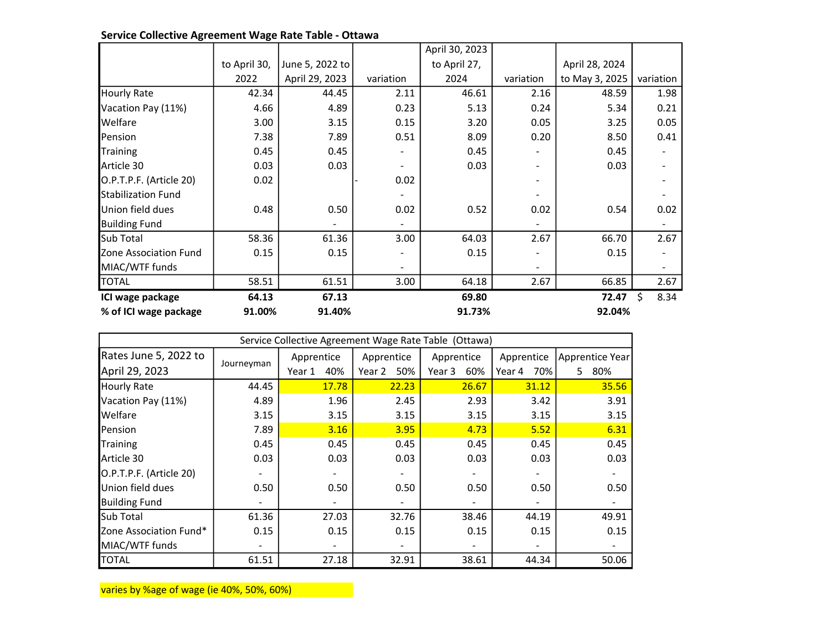|                           |              |                 |                  | April 30, 2023 |                |                |           |
|---------------------------|--------------|-----------------|------------------|----------------|----------------|----------------|-----------|
|                           | to April 30, | June 5, 2022 to |                  | to April 27,   |                | April 28, 2024 |           |
|                           | 2022         | April 29, 2023  | variation        | 2024           | variation      | to May 3, 2025 | variation |
| <b>Hourly Rate</b>        | 42.34        | 44.45           | 2.11             | 46.61          | 2.16           | 48.59          | 1.98      |
| Vacation Pay (11%)        | 4.66         | 4.89            | 0.23             | 5.13           | 0.24           | 5.34           | 0.21      |
| Welfare                   | 3.00         | 3.15            | 0.15             | 3.20           | 0.05           | 3.25           | 0.05      |
| Pension                   | 7.38         | 7.89            | 0.51             | 8.09           | 0.20           | 8.50           | 0.41      |
| Training                  | 0.45         | 0.45            |                  | 0.45           |                | 0.45           |           |
| Article 30                | 0.03         | 0.03            |                  | 0.03           | $\overline{a}$ | 0.03           |           |
| O.P.T.P.F. (Article 20)   | 0.02         |                 | 0.02             |                |                |                |           |
| <b>Stabilization Fund</b> |              |                 |                  |                |                |                |           |
| Union field dues          | 0.48         | 0.50            | 0.02             | 0.52           | 0.02           | 0.54           | 0.02      |
| <b>Building Fund</b>      |              |                 |                  |                |                |                |           |
| Sub Total                 | 58.36        | 61.36           | 3.00             | 64.03          | 2.67           | 66.70          | 2.67      |
| Zone Association Fund     | 0.15         | 0.15            |                  | 0.15           |                | 0.15           |           |
| MIAC/WTF funds            |              |                 |                  |                |                |                |           |
| <b>TOTAL</b>              | 58.51        | 61.51           | 3.00             | 64.18          | 2.67           | 66.85          | 2.67      |
| ICI wage package          | 64.13        | 67.13           |                  | 69.80          |                | 72.47          | 8.34<br>ς |
| % of ICI wage package     | 91.00%       | 91.40%          | 92.04%<br>91.73% |                |                |                |           |

## Service Collective Agreement Wage Rate Table - Ottawa

| Service Collective Agreement Wage Rate Table (Ottawa) |            |               |               |               |               |                 |  |
|-------------------------------------------------------|------------|---------------|---------------|---------------|---------------|-----------------|--|
| Rates June 5, 2022 to                                 |            | Apprentice    | Apprentice    | Apprentice    | Apprentice    | Apprentice Year |  |
| April 29, 2023                                        | Journeyman | 40%<br>Year 1 | Year 2<br>50% | Year 3<br>60% | 70%<br>Year 4 | 80%<br>5.       |  |
| <b>Hourly Rate</b>                                    | 44.45      | 17.78         | 22.23         | 26.67         | 31.12         | 35.56           |  |
| Vacation Pay (11%)                                    | 4.89       | 1.96          | 2.45          | 2.93          | 3.42          | 3.91            |  |
| <b>Welfare</b>                                        | 3.15       | 3.15          | 3.15          | 3.15          | 3.15          | 3.15            |  |
| Pension                                               | 7.89       | 3.16          | 3.95          | 4.73          | 5.52          | 6.31            |  |
| <b>Training</b>                                       | 0.45       | 0.45          | 0.45          | 0.45          | 0.45          | 0.45            |  |
| Article 30                                            | 0.03       | 0.03          | 0.03          | 0.03          | 0.03          | 0.03            |  |
| O.P.T.P.F. (Article 20)                               |            |               |               |               |               |                 |  |
| Union field dues                                      | 0.50       | 0.50          | 0.50          | 0.50          | 0.50          | 0.50            |  |
| <b>Building Fund</b>                                  |            |               |               |               |               |                 |  |
| <b>Sub Total</b>                                      | 61.36      | 27.03         | 32.76         | 38.46         | 44.19         | 49.91           |  |
| Zone Association Fund*                                | 0.15       | 0.15          | 0.15          | 0.15          | 0.15          | 0.15            |  |
| MIAC/WTF funds                                        |            |               |               |               |               |                 |  |
| <b>TOTAL</b>                                          | 61.51      | 27.18         | 32.91         | 38.61         | 44.34         | 50.06           |  |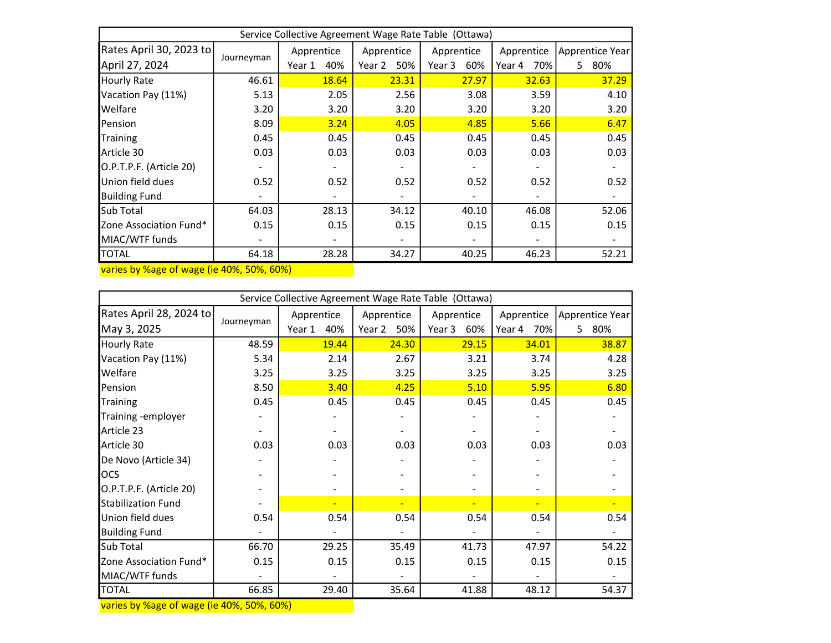| Service Collective Agreement Wage Rate Table (Ottawa) |            |               |               |               |               |                 |  |  |
|-------------------------------------------------------|------------|---------------|---------------|---------------|---------------|-----------------|--|--|
| Rates April 30, 2023 to                               |            | Apprentice    | Apprentice    | Apprentice    | Apprentice    | Apprentice Year |  |  |
| April 27, 2024                                        | Journeyman | 40%<br>Year 1 | Year 2<br>50% | Year 3<br>60% | 70%<br>Year 4 | 80%<br>5.       |  |  |
| <b>Hourly Rate</b>                                    | 46.61      | 18.64         | 23.31         | 27.97         | 32.63         | 37.29           |  |  |
| Vacation Pay (11%)                                    | 5.13       | 2.05          | 2.56          | 3.08          | 3.59          | 4.10            |  |  |
| <b>Welfare</b>                                        | 3.20       | 3.20          | 3.20          | 3.20          | 3.20          | 3.20            |  |  |
| Pension                                               | 8.09       | 3.24          | 4.05          | 4.85          | 5.66          | 6.47            |  |  |
| <b>Training</b>                                       | 0.45       | 0.45          | 0.45          | 0.45          | 0.45          | 0.45            |  |  |
| Article 30                                            | 0.03       | 0.03          | 0.03          | 0.03          | 0.03          | 0.03            |  |  |
| O.P.T.P.F. (Article 20)                               |            |               |               |               |               |                 |  |  |
| Union field dues                                      | 0.52       | 0.52          | 0.52          | 0.52          | 0.52          | 0.52            |  |  |
| <b>Building Fund</b>                                  |            |               |               |               |               |                 |  |  |
| Sub Total                                             | 64.03      | 28.13         | 34.12         | 40.10         | 46.08         | 52.06           |  |  |
| Zone Association Fund*                                | 0.15       | 0.15          | 0.15          | 0.15          | 0.15          | 0.15            |  |  |
| MIAC/WTF funds                                        |            |               |               |               |               |                 |  |  |
| <b>TOTAL</b>                                          | 64.18      | 28.28         | 34.27         | 40.25         | 46.23         | 52.21           |  |  |
|                                                       |            |               |               |               |               |                 |  |  |

varies by %age of wage (ie 40%, 50%, 60%)

| Service Collective Agreement Wage Rate Table (Ottawa) |                                      |               |            |               |               |                       |  |  |
|-------------------------------------------------------|--------------------------------------|---------------|------------|---------------|---------------|-----------------------|--|--|
| Rates April 28, 2024 to                               |                                      | Apprentice    | Apprentice | Apprentice    | Apprentice    | Apprentice Year       |  |  |
| May 3, 2025                                           | Journeyman                           | 40%<br>Year 1 | Year 2 50% | Year 3<br>60% | 70%<br>Year 4 | 80%<br>5 <sub>1</sub> |  |  |
| <b>Hourly Rate</b>                                    | 48.59                                | 19.44         | 24.30      | 29.15         | 34.01         | 38.87                 |  |  |
| Vacation Pay (11%)                                    | 5.34                                 | 2.14          | 2.67       | 3.21          | 3.74          | 4.28                  |  |  |
| Welfare                                               | 3.25                                 | 3.25          | 3.25       | 3.25          | 3.25          | 3.25                  |  |  |
| Pension                                               | 8.50                                 | 3.40          | 4.25       | 5.10          | 5.95          | 6.80                  |  |  |
| Training                                              | 0.45                                 | 0.45          | 0.45       | 0.45          | 0.45          | 0.45                  |  |  |
| Training - employer                                   |                                      |               |            |               |               |                       |  |  |
| Article 23                                            |                                      |               |            |               |               |                       |  |  |
| Article 30                                            | 0.03                                 | 0.03          | 0.03       | 0.03          | 0.03          | 0.03                  |  |  |
| De Novo (Article 34)                                  |                                      |               |            |               |               |                       |  |  |
| <b>OCS</b>                                            |                                      |               |            |               |               |                       |  |  |
| O.P.T.P.F. (Article 20)                               |                                      |               |            |               |               |                       |  |  |
| <b>Stabilization Fund</b>                             |                                      |               |            |               |               |                       |  |  |
| Union field dues                                      | 0.54                                 | 0.54          | 0.54       | 0.54          | 0.54          | 0.54                  |  |  |
| <b>Building Fund</b>                                  |                                      |               |            |               |               |                       |  |  |
| Sub Total                                             | 66.70                                | 29.25         | 35.49      | 41.73         | 47.97         | 54.22                 |  |  |
| Zone Association Fund*                                | 0.15                                 | 0.15          | 0.15       | 0.15          | 0.15          | 0.15                  |  |  |
| MIAC/WTF funds                                        |                                      |               |            |               |               |                       |  |  |
| <b>TOTAL</b>                                          | 66.85<br>$P = 400$ $P = 00$ $P = 00$ | 29.40         | 35.64      | 41.88         | 48.12         | 54.37                 |  |  |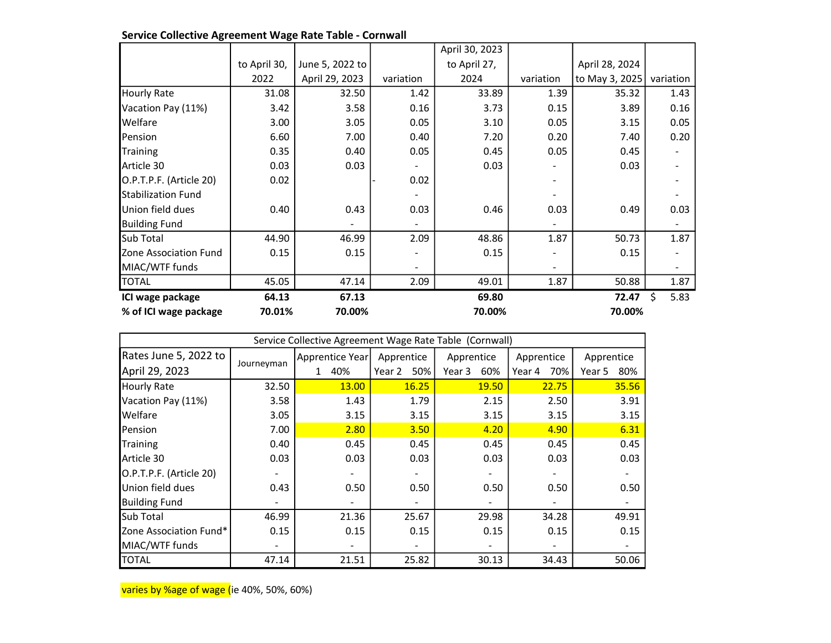|                           |              |                 |           | April 30, 2023 |           |                |            |
|---------------------------|--------------|-----------------|-----------|----------------|-----------|----------------|------------|
|                           | to April 30, | June 5, 2022 to |           | to April 27,   |           | April 28, 2024 |            |
|                           | 2022         | April 29, 2023  | variation | 2024           | variation | to May 3, 2025 | variation  |
| <b>Hourly Rate</b>        | 31.08        | 32.50           | 1.42      | 33.89          | 1.39      | 35.32          | 1.43       |
| Vacation Pay (11%)        | 3.42         | 3.58            | 0.16      | 3.73           | 0.15      | 3.89           | 0.16       |
| <b>Welfare</b>            | 3.00         | 3.05            | 0.05      | 3.10           | 0.05      | 3.15           | 0.05       |
| Pension                   | 6.60         | 7.00            | 0.40      | 7.20           | 0.20      | 7.40           | 0.20       |
| <b>Training</b>           | 0.35         | 0.40            | 0.05      | 0.45           | 0.05      | 0.45           |            |
| Article 30                | 0.03         | 0.03            |           | 0.03           |           | 0.03           |            |
| O.P.T.P.F. (Article 20)   | 0.02         |                 | 0.02      |                |           |                |            |
| <b>Stabilization Fund</b> |              |                 |           |                |           |                |            |
| lUnion field dues         | 0.40         | 0.43            | 0.03      | 0.46           | 0.03      | 0.49           | 0.03       |
| <b>Building Fund</b>      |              |                 |           |                |           |                |            |
| <b>I</b> Sub Total        | 44.90        | 46.99           | 2.09      | 48.86          | 1.87      | 50.73          | 1.87       |
| Zone Association Fund     | 0.15         | 0.15            |           | 0.15           |           | 0.15           |            |
| MIAC/WTF funds            |              |                 |           |                |           |                |            |
| <b>TOTAL</b>              | 45.05        | 47.14           | 2.09      | 49.01          | 1.87      | 50.88          | 1.87       |
| ICI wage package          | 64.13        | 67.13           |           | 69.80          |           | 72.47          | Ś.<br>5.83 |
| % of ICI wage package     | 70.01%       | 70.00%          |           | 70.00%         |           | 70.00%         |            |

| Service Collective Agreement Wage Rate Table - Cornwall |  |
|---------------------------------------------------------|--|
|---------------------------------------------------------|--|

| Service Collective Agreement Wage Rate Table (Cornwall) |            |                 |               |               |               |               |  |  |
|---------------------------------------------------------|------------|-----------------|---------------|---------------|---------------|---------------|--|--|
| Rates June 5, 2022 to                                   |            | Apprentice Year | Apprentice    | Apprentice    | Apprentice    | Apprentice    |  |  |
| April 29, 2023                                          | Journeyman | 40%             | Year 2<br>50% | Year 3<br>60% | Year 4<br>70% | 80%<br>Year 5 |  |  |
| <b>Hourly Rate</b>                                      | 32.50      | <b>13.00</b>    | 16.25         | <b>19.50</b>  | 22.75         | 35.56         |  |  |
| Vacation Pay (11%)                                      | 3.58       | 1.43            | 1.79          | 2.15          | 2.50          | 3.91          |  |  |
| <b>Welfare</b>                                          | 3.05       | 3.15            | 3.15          | 3.15          | 3.15          | 3.15          |  |  |
| Pension                                                 | 7.00       | 2.80            | 3.50          | 4.20          | 4.90          | 6.31          |  |  |
| <b>Training</b>                                         | 0.40       | 0.45            | 0.45          | 0.45          | 0.45          | 0.45          |  |  |
| Article 30                                              | 0.03       | 0.03            | 0.03          | 0.03          | 0.03          | 0.03          |  |  |
| O.P.T.P.F. (Article 20)                                 |            |                 |               |               |               |               |  |  |
| Union field dues                                        | 0.43       | 0.50            | 0.50          | 0.50          | 0.50          | 0.50          |  |  |
| <b>Building Fund</b>                                    |            |                 |               |               |               |               |  |  |
| <b>I</b> Sub Total                                      | 46.99      | 21.36           | 25.67         | 29.98         | 34.28         | 49.91         |  |  |
| Zone Association Fund*                                  | 0.15       | 0.15            | 0.15          | 0.15          | 0.15          | 0.15          |  |  |
| MIAC/WTF funds                                          |            |                 |               |               |               |               |  |  |
| <b>TOTAL</b>                                            | 47.14      | 21.51           | 25.82         | 30.13         | 34.43         | 50.06         |  |  |